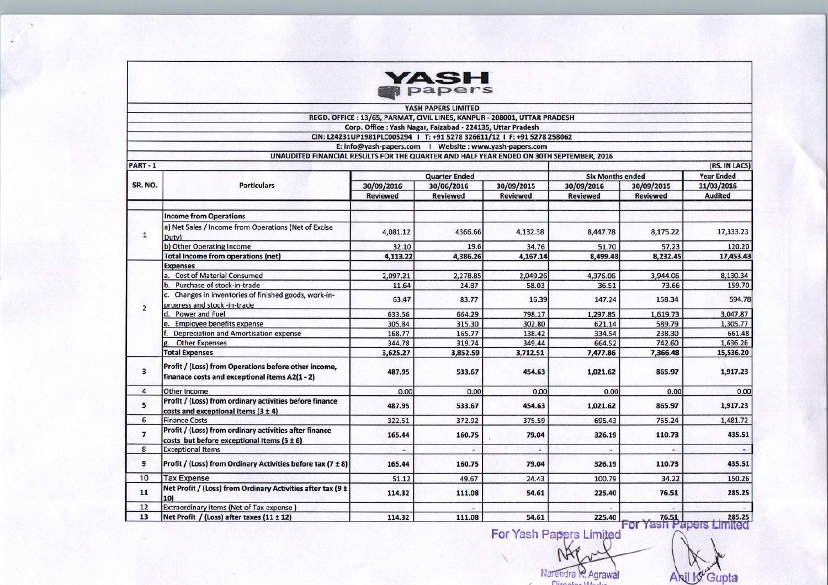|                          |                                                                                                        |                      | <b>ASH</b><br>papers                                                     |                 |                                                     |                   |                |
|--------------------------|--------------------------------------------------------------------------------------------------------|----------------------|--------------------------------------------------------------------------|-----------------|-----------------------------------------------------|-------------------|----------------|
|                          |                                                                                                        |                      | YASH PAPERS LIMITED                                                      |                 |                                                     |                   |                |
|                          |                                                                                                        |                      | REGD. OFFICE: 13/65, PARMAT, CIVIL LINES, KANPUR - 208001, UTTAR PRADESH |                 |                                                     |                   |                |
|                          |                                                                                                        |                      | Corp. Office: Yash Nagar, Faizabad - 224135, Uttar Pradesh               |                 |                                                     |                   |                |
|                          |                                                                                                        |                      | CIN: L24231UP1981PLC005294   T: +91 5278 326611/12   F: +91 5278 258062  |                 |                                                     |                   |                |
|                          |                                                                                                        |                      | E: info@yash-papers.com   Website : www.yash-papers.com                  |                 |                                                     |                   |                |
|                          | UNAUDITED FINANCIAL RESULTS FOR THE QUARTER AND HALF YEAR ENDED ON 30TH SEPTEMBER, 2016                |                      |                                                                          |                 |                                                     |                   |                |
| PART-1                   |                                                                                                        |                      |                                                                          |                 |                                                     |                   | (RS. IN LACS)  |
|                          |                                                                                                        |                      |                                                                          |                 |                                                     | <b>Year Ended</b> |                |
| SR. NO.                  | <b>Particulars</b>                                                                                     | <b>Quarter Ended</b> |                                                                          |                 | <b>Six Months ended</b><br>30/09/2016<br>30/09/2015 |                   | 31/03/2016     |
|                          |                                                                                                        | 30/09/2016           | 30/06/2016                                                               | 30/09/2015      |                                                     |                   | <b>Audited</b> |
|                          |                                                                                                        | <b>Reviewed</b>      | <b>Reviewed</b>                                                          | <b>Reviewed</b> | <b>Reviewed</b>                                     | <b>Reviewed</b>   |                |
|                          |                                                                                                        |                      |                                                                          |                 |                                                     |                   |                |
|                          | <b>Income from Operations</b>                                                                          |                      |                                                                          |                 |                                                     |                   |                |
| $\mathbf{1}$             | a) Net Sales / Income from Operations (Net of Excise<br>Duty)                                          | 4,081.12             | 4366.66                                                                  | 4,132.38        | 8,447.78                                            | 8,175.22          | 17,333.23      |
|                          | b) Other Operating Income                                                                              | 32.10                | 19.6                                                                     | 34.76           | 51.70                                               | 57.23             | 120.20         |
|                          | <b>Total Income from operations (net)</b>                                                              | 4,113.22             | 4,386.26                                                                 | 4,167.14        | 8,499.48                                            | 8,232.45          | 17,453.43      |
|                          | <b>Expenses</b>                                                                                        |                      |                                                                          |                 |                                                     |                   |                |
|                          | a. Cost of Material Consumed                                                                           | 2,097.21             | 2,278.85                                                                 | 2,049.26        | 4,376.06                                            | 3,944.06          | 8,130.34       |
|                          | b. Purchase of stock-in-trade                                                                          | 11.64                | 24.87                                                                    | 58.03           | 36.51                                               | 73.66             | 159.70         |
|                          | c. Changes in inventories of finished goods, work-in-<br>progress and stock -in-trade                  | 63.47                | 83.77                                                                    | 16.39           | 147.24                                              | 158.34            | 594.78         |
| $\overline{2}$           | d. Power and Fuel                                                                                      | 633.56               | 664.29                                                                   | 798.17          | 1,297.85                                            | 1,619.73          | 3,047.87       |
|                          | e. Employee benefits expense                                                                           | 305.84               | 315.30                                                                   | 302.80          | 621.14                                              | 589.79            | 1,305.77       |
|                          | Depreciation and Amortisation expense                                                                  | 168.77               | 165.77                                                                   | 138.42          | 334.54                                              | 238.30            | 661.48         |
|                          | <b>Other Expenses</b>                                                                                  | 344.78               | 319.74                                                                   | 349.44          | 664.52                                              | 742.60            | 1,636.26       |
|                          | <b>Total Expenses</b>                                                                                  | 3,625.27             | 3,852.59                                                                 | 3,712.51        | 7,477.86                                            | 7,366.48          | 15,536.20      |
| 3                        | Profit / (Loss) from Operations before other income,<br>finanace costs and exceptional items A2(1 - 2) | 487.95               | 533.67                                                                   | 454.63          | 1,021.62                                            | 865.97            | 1,917.23       |
| 4                        | Other Income                                                                                           | 0.00                 | 0.00                                                                     | 0.00            | 0.00                                                | 0.00              | 0.00           |
| 5                        | Profit / (Loss) from ordinary activities before finance<br>costs and exceptional Items $(3 \pm 4)$     | 487.95               | 533.67                                                                   | 454.63          | 1,021.62                                            | 865.97            | 1,917.23       |
| 6                        | <b>Finance Costs</b>                                                                                   |                      | 372.92                                                                   | 375.59          | 695.43                                              | 755.24            | 1,481.72       |
| $\overline{\phantom{a}}$ | Profit / (Loss) from ordinary activities after finance                                                 | 322.51<br>165.44     | 160.75                                                                   | 79.04           | 326.19                                              | 110.73            | 435.51         |
|                          | costs but before exceptional Items $(5 \pm 6)$                                                         |                      |                                                                          |                 |                                                     |                   |                |
| 8<br>9                   | <b>Exceptional Items</b><br>Profit / (Loss) from Ordinary Activities before tax (7 ± 8)                | 165.44               | 160.75                                                                   | 79.04           | 326.19                                              | 110.73            | 435.51         |
| 10                       |                                                                                                        |                      |                                                                          |                 |                                                     |                   |                |
|                          | <b>Tax Expense</b>                                                                                     | 51.12                | 49.67                                                                    | 24.43           | 100.79                                              | 34.22             | 150.26         |
| 11                       | Net Profit / (Loss) from Ordinary Activities after tax (9 ±<br>10)                                     | 114.32               | 111.08                                                                   | 54.61           | 225.40                                              | 76.51             | 285.25         |
| 12                       | Extraordinary items (Net of Tax expense)                                                               |                      |                                                                          |                 |                                                     |                   |                |
| 13                       | Net Profit / (Loss) after taxes (11 ± 12)                                                              | 114.32               | 111.08                                                                   | 54.61           | 225.40                                              | 76.51             | 285.25         |

For Yash Papers Limited NAP

Narendra R. Agrawal

Anil K Gupta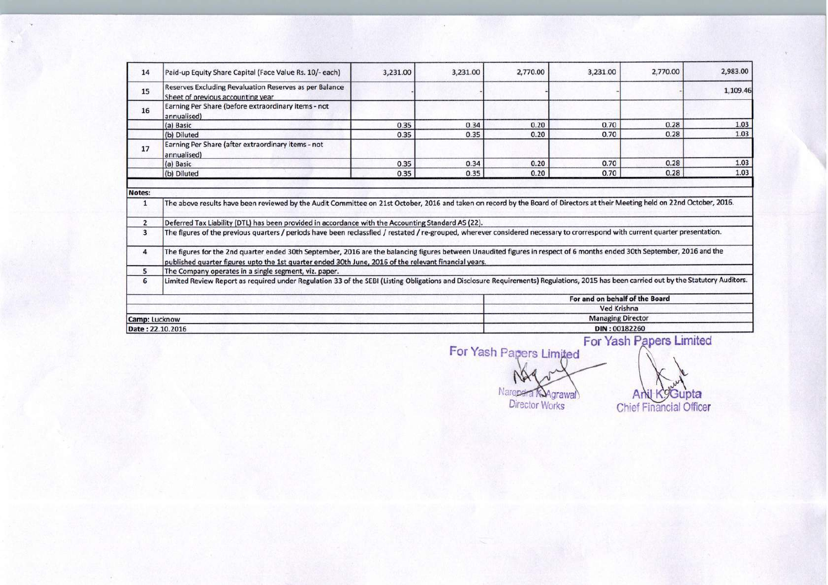| 14                                       | Paid-up Equity Share Capital (Face Value Rs. 10/- each)                                                                                                                                                                                                                                                                                                   | 3,231.00 | 3,231.00 | 2,770.00 | 3,231.00                       | 2,770.00                | 2,983.00 |
|------------------------------------------|-----------------------------------------------------------------------------------------------------------------------------------------------------------------------------------------------------------------------------------------------------------------------------------------------------------------------------------------------------------|----------|----------|----------|--------------------------------|-------------------------|----------|
| 15                                       | Reserves Excluding Revaluation Reserves as per Balance<br>Sheet of previous accounting year                                                                                                                                                                                                                                                               |          |          |          |                                |                         | 1,109.46 |
| 16                                       | Earning Per Share (before extraordinary items - not<br>annualised)                                                                                                                                                                                                                                                                                        |          |          |          |                                |                         |          |
|                                          | (a) Basic                                                                                                                                                                                                                                                                                                                                                 | 0.35     | 0.34     | 0.20     | 0.70                           | 0.28                    | 1.03     |
|                                          | (b) Diluted                                                                                                                                                                                                                                                                                                                                               | 0.35     | 0.35     | 0.20     | 0.70                           | 0.28                    | 1.03     |
| 17                                       | Earning Per Share (after extraordinary items - not<br>annualised)                                                                                                                                                                                                                                                                                         |          |          |          |                                |                         |          |
|                                          | (a) Basic                                                                                                                                                                                                                                                                                                                                                 | 0.35     | 0.34     | 0.20     | 0.70                           | 0.28                    | 1.03     |
|                                          | (b) Diluted                                                                                                                                                                                                                                                                                                                                               | 0.35     | 0.35     | 0.20     | 0.70                           | 0.28                    | 1.03     |
| Notes:<br>$\mathbf{1}$<br>$\overline{2}$ | The above results have been reviewed by the Audit Committee on 21st October, 2016 and taken on record by the Board of Directors at their Meeting held on 22nd October, 2016.<br>Deferred Tax Liability (DTL) has been provided in accordance with the Accounting Standard AS (22).                                                                        |          |          |          |                                |                         |          |
| $\overline{3}$<br>4                      | The figures of the previous quarters / periods have been reclassfied / restated / re-grouped, wherever considered necessary to crorrespond with current quarter presentation.<br>The figures for the 2nd quarter ended 30th September, 2016 are the balancing figures between Unaudited figures in respect of 6 months ended 30th September, 2016 and the |          |          |          |                                |                         |          |
|                                          | published quarter figures upto the 1st quarter ended 30th June, 2016 of the relevant financial years.                                                                                                                                                                                                                                                     |          |          |          |                                |                         |          |
| 5                                        | The Company operates in a single segment, viz. paper.                                                                                                                                                                                                                                                                                                     |          |          |          |                                |                         |          |
| 6                                        | Limited Review Report as required under Regulation 33 of the SEBI (Listing Obligations and Disclosure Requirements) Regulations, 2015 has been carried out by the Statutory Auditors.                                                                                                                                                                     |          |          |          |                                |                         |          |
|                                          |                                                                                                                                                                                                                                                                                                                                                           |          |          |          | For and on behalf of the Board |                         |          |
|                                          |                                                                                                                                                                                                                                                                                                                                                           |          |          |          | Ved Krishna                    |                         |          |
|                                          | <b>Camp: Lucknow</b>                                                                                                                                                                                                                                                                                                                                      |          |          |          | <b>Managing Director</b>       |                         |          |
|                                          | Date: 22.10.2016                                                                                                                                                                                                                                                                                                                                          |          |          |          | DIN: 00182260                  | For Yash Papers Limited |          |

For Yash Papers Limited Narendra Kagrawal

Anil Kogupta<br>Chief Financial Officer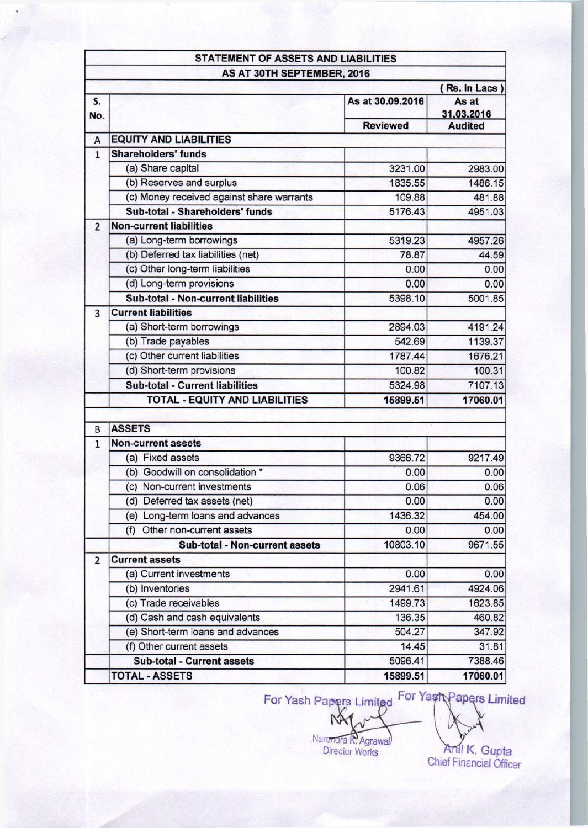|                |                                            |                  | (Rs. In Lacs)       |
|----------------|--------------------------------------------|------------------|---------------------|
| S.<br>No.      |                                            | As at 30.09.2016 | As at<br>31.03.2016 |
|                |                                            | <b>Reviewed</b>  | <b>Audited</b>      |
| A              | <b>EQUITY AND LIABILITIES</b>              |                  |                     |
| $\overline{1}$ | <b>Shareholders' funds</b>                 |                  |                     |
|                | (a) Share capital                          | 3231.00          | 2983.00             |
|                | (b) Reserves and surplus                   | 1835.55          | 1486.15             |
|                | (c) Money received against share warrants  | 109.88           | 481.88              |
|                | Sub-total - Shareholders' funds            | 5176.43          | 4951.03             |
| $\overline{2}$ | <b>Non-current liabilities</b>             |                  |                     |
|                | (a) Long-term borrowings                   | 5319.23          | 4957.26             |
|                | (b) Deferred tax liabilities (net)         | 78.87            | 44.59               |
|                | (c) Other long-term liabilities            | 0.00             | 0.00                |
|                | (d) Long-term provisions                   | 0.00             | 0.00                |
|                | <b>Sub-total - Non-current liabilities</b> | 5398.10          | 5001.85             |
| 3              | <b>Current liabilities</b>                 |                  |                     |
|                | (a) Short-term borrowings                  | 2894.03          | 4191.24             |
|                | (b) Trade payables                         | 542.69           | 1139.37             |
|                | (c) Other current liabilities              | 1787.44          | 1676.21             |
|                | (d) Short-term provisions                  | 100.82           | 100.31              |
|                | <b>Sub-total - Current liabilities</b>     | 5324.98          | 7107.13             |
|                | <b>TOTAL - EQUITY AND LIABILITIES</b>      | 15899.51         | 17060.01            |
| B              | <b>ASSETS</b>                              |                  |                     |
| $\overline{1}$ | <b>Non-current assets</b>                  |                  |                     |
|                | (a) Fixed assets                           | 9366.72          | 9217.49             |
|                | (b) Goodwill on consolidation *            | 0.00             | 0.00                |
|                | (c) Non-current investments                | 0.06             | 0.06                |
|                | (d) Deferred tax assets (net)              | 0.00             | 0.00                |
|                | (e) Long-term loans and advances           | 1436.32          | 454.00              |
|                | Other non-current assets<br>(f)            | 0.00             | 0.00                |
|                | Sub-total - Non-current assets             | 10803.10         | 9671.55             |
| $\overline{2}$ | <b>Current assets</b>                      |                  |                     |
|                | (a) Current investments                    | 0.00             | 0.00                |
|                | (b) Inventories                            | 2941.61          | 4924.06             |
|                | (c) Trade receivables                      | 1499.73          | 1623.85             |
|                | (d) Cash and cash equivalents              | 136.35           | 460.82              |
|                | (e) Short-term loans and advances          | 504.27           | 347.92              |
|                | (f) Other current assets                   | 14.45            | 31.81               |
|                | Sub-total - Current assets                 | 5096.41          | 7388.46             |
|                | <b>TOTAL - ASSETS</b>                      | 15899.51         | 17060.01            |

For Yash Papers Limited For Yash Papers Limited

M Narendra R. Agrawal

Anil K. Gupta<br>Chief Financial Officer